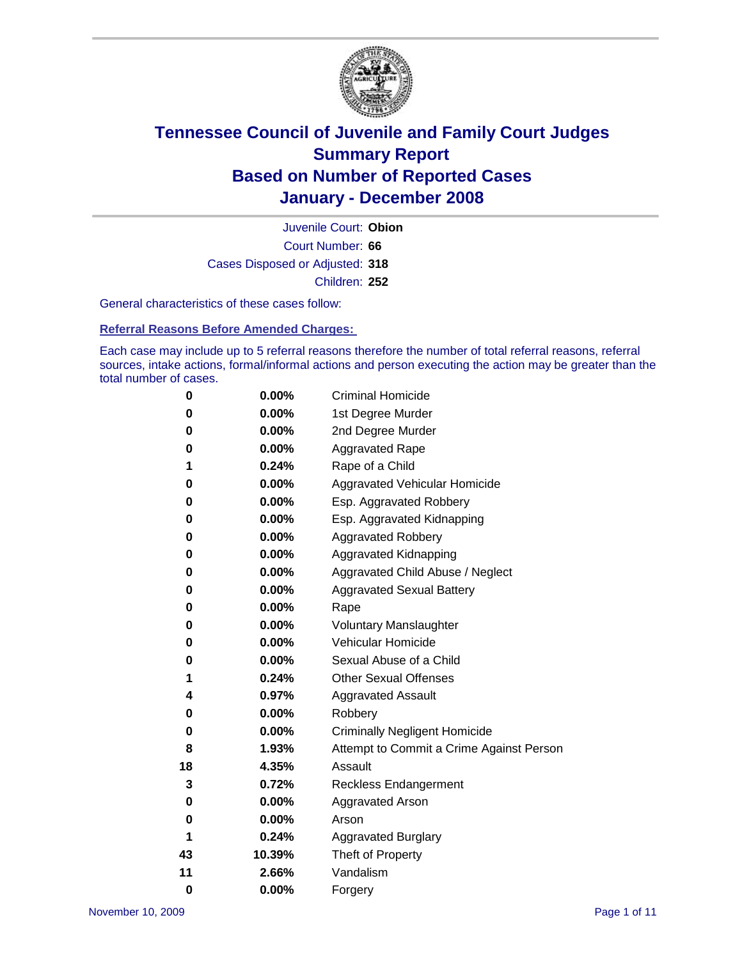

Court Number: **66** Juvenile Court: **Obion** Cases Disposed or Adjusted: **318** Children: **252**

General characteristics of these cases follow:

**Referral Reasons Before Amended Charges:** 

Each case may include up to 5 referral reasons therefore the number of total referral reasons, referral sources, intake actions, formal/informal actions and person executing the action may be greater than the total number of cases.

| 0        | 0.00%    | <b>Criminal Homicide</b>                 |
|----------|----------|------------------------------------------|
| 0        | 0.00%    | 1st Degree Murder                        |
| 0        | $0.00\%$ | 2nd Degree Murder                        |
| 0        | 0.00%    | <b>Aggravated Rape</b>                   |
| 1        | 0.24%    | Rape of a Child                          |
| 0        | 0.00%    | Aggravated Vehicular Homicide            |
| 0        | 0.00%    | Esp. Aggravated Robbery                  |
| 0        | 0.00%    | Esp. Aggravated Kidnapping               |
| 0        | 0.00%    | <b>Aggravated Robbery</b>                |
| 0        | 0.00%    | Aggravated Kidnapping                    |
| 0        | 0.00%    | Aggravated Child Abuse / Neglect         |
| 0        | 0.00%    | <b>Aggravated Sexual Battery</b>         |
| 0        | 0.00%    | Rape                                     |
| 0        | 0.00%    | <b>Voluntary Manslaughter</b>            |
| 0        | 0.00%    | Vehicular Homicide                       |
| 0        | $0.00\%$ | Sexual Abuse of a Child                  |
| 1        | 0.24%    | <b>Other Sexual Offenses</b>             |
| 4        | 0.97%    | <b>Aggravated Assault</b>                |
| 0        | 0.00%    | Robbery                                  |
| 0        | $0.00\%$ | <b>Criminally Negligent Homicide</b>     |
| 8        | 1.93%    | Attempt to Commit a Crime Against Person |
| 18       | 4.35%    | Assault                                  |
| 3        | 0.72%    | Reckless Endangerment                    |
| 0        | $0.00\%$ | <b>Aggravated Arson</b>                  |
| 0        | 0.00%    | Arson                                    |
| 1        | 0.24%    | <b>Aggravated Burglary</b>               |
| 43       | 10.39%   | Theft of Property                        |
| 11       | 2.66%    | Vandalism                                |
| $\bf{0}$ | 0.00%    | Forgery                                  |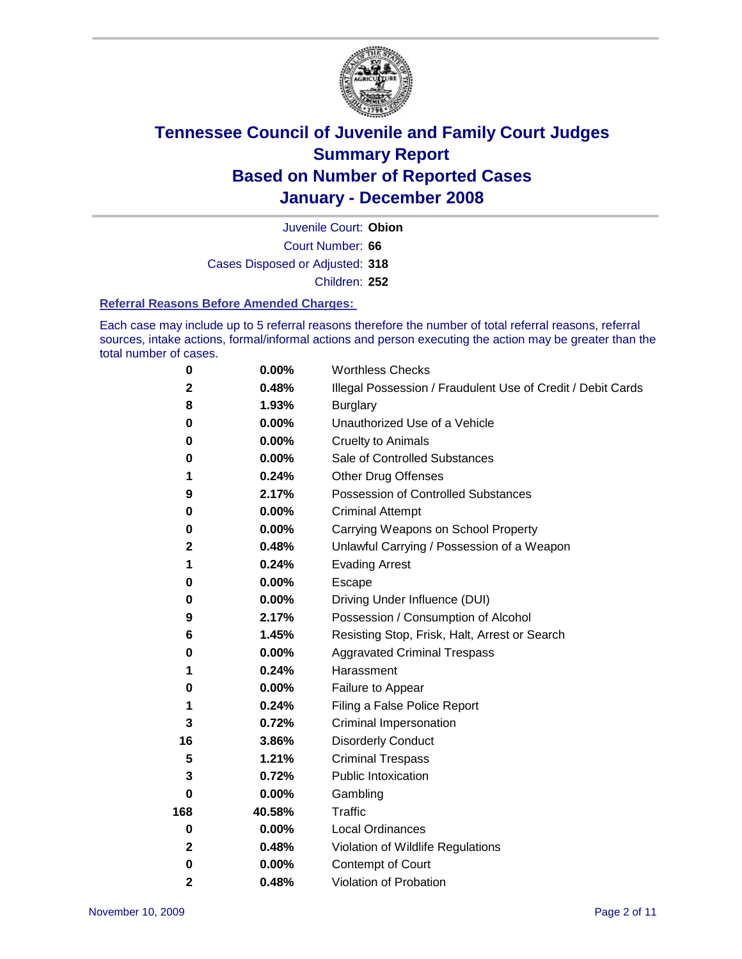

Court Number: **66** Juvenile Court: **Obion** Cases Disposed or Adjusted: **318** Children: **252**

#### **Referral Reasons Before Amended Charges:**

Each case may include up to 5 referral reasons therefore the number of total referral reasons, referral sources, intake actions, formal/informal actions and person executing the action may be greater than the total number of cases.

| 0           | 0.00%    | <b>Worthless Checks</b>                                     |
|-------------|----------|-------------------------------------------------------------|
| $\mathbf 2$ | 0.48%    | Illegal Possession / Fraudulent Use of Credit / Debit Cards |
| 8           | 1.93%    | <b>Burglary</b>                                             |
| 0           | $0.00\%$ | Unauthorized Use of a Vehicle                               |
| $\bf{0}$    | 0.00%    | <b>Cruelty to Animals</b>                                   |
| 0           | 0.00%    | Sale of Controlled Substances                               |
| 1           | 0.24%    | <b>Other Drug Offenses</b>                                  |
| 9           | 2.17%    | <b>Possession of Controlled Substances</b>                  |
| 0           | 0.00%    | <b>Criminal Attempt</b>                                     |
| 0           | 0.00%    | Carrying Weapons on School Property                         |
| $\mathbf 2$ | 0.48%    | Unlawful Carrying / Possession of a Weapon                  |
| 1           | 0.24%    | <b>Evading Arrest</b>                                       |
| 0           | 0.00%    | Escape                                                      |
| 0           | 0.00%    | Driving Under Influence (DUI)                               |
| 9           | 2.17%    | Possession / Consumption of Alcohol                         |
| 6           | 1.45%    | Resisting Stop, Frisk, Halt, Arrest or Search               |
| 0           | 0.00%    | <b>Aggravated Criminal Trespass</b>                         |
| 1           | 0.24%    | Harassment                                                  |
| 0           | 0.00%    | Failure to Appear                                           |
| 1           | 0.24%    | Filing a False Police Report                                |
| 3           | 0.72%    | Criminal Impersonation                                      |
| 16          | 3.86%    | <b>Disorderly Conduct</b>                                   |
| 5           | 1.21%    | <b>Criminal Trespass</b>                                    |
| 3           | 0.72%    | <b>Public Intoxication</b>                                  |
| $\bf{0}$    | 0.00%    | Gambling                                                    |
| 168         | 40.58%   | Traffic                                                     |
| $\bf{0}$    | $0.00\%$ | <b>Local Ordinances</b>                                     |
| $\mathbf 2$ | 0.48%    | Violation of Wildlife Regulations                           |
| 0           | $0.00\%$ | Contempt of Court                                           |
| 2           | 0.48%    | Violation of Probation                                      |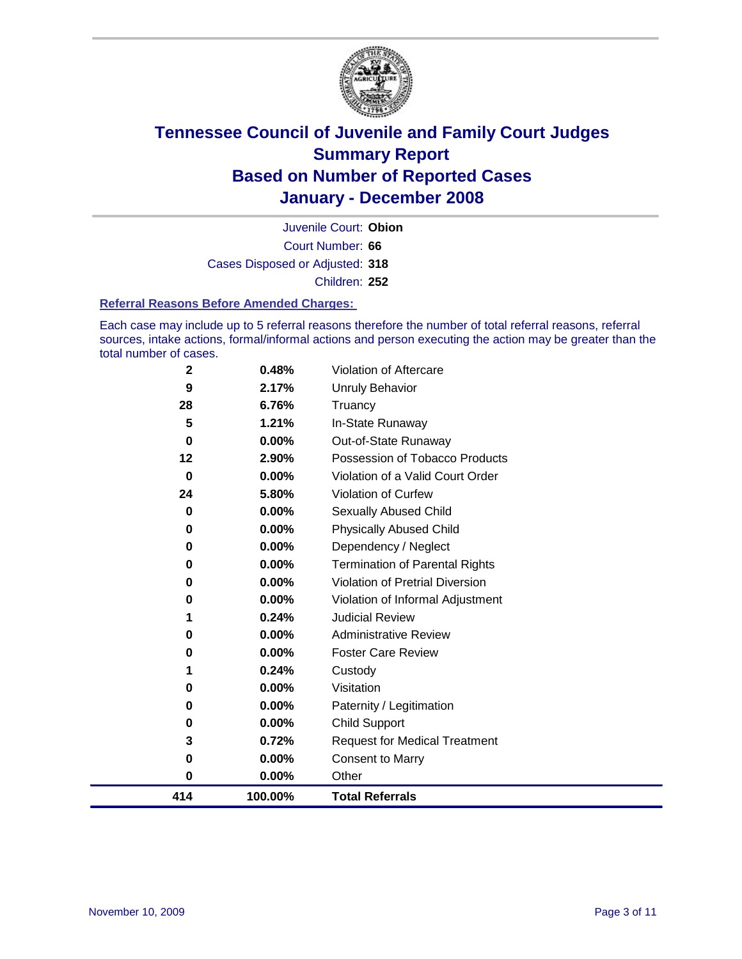

Court Number: **66** Juvenile Court: **Obion** Cases Disposed or Adjusted: **318** Children: **252**

#### **Referral Reasons Before Amended Charges:**

Each case may include up to 5 referral reasons therefore the number of total referral reasons, referral sources, intake actions, formal/informal actions and person executing the action may be greater than the total number of cases.

| 5        | 1.21%   | In-State Runaway                      |
|----------|---------|---------------------------------------|
| $\bf{0}$ | 0.00%   | Out-of-State Runaway                  |
| $12 \,$  | 2.90%   | Possession of Tobacco Products        |
| 0        | 0.00%   | Violation of a Valid Court Order      |
| 24       | 5.80%   | Violation of Curfew                   |
| 0        | 0.00%   | <b>Sexually Abused Child</b>          |
| $\bf{0}$ | 0.00%   | <b>Physically Abused Child</b>        |
| 0        | 0.00%   | Dependency / Neglect                  |
| 0        | 0.00%   | <b>Termination of Parental Rights</b> |
| 0        | 0.00%   | Violation of Pretrial Diversion       |
| 0        | 0.00%   | Violation of Informal Adjustment      |
| 1        | 0.24%   | <b>Judicial Review</b>                |
| 0        | 0.00%   | <b>Administrative Review</b>          |
| 0        | 0.00%   | <b>Foster Care Review</b>             |
|          | 0.24%   | Custody                               |
| 0        | 0.00%   | Visitation                            |
| 0        | 0.00%   | Paternity / Legitimation              |
| 0        | 0.00%   | <b>Child Support</b>                  |
| 3        | 0.72%   | <b>Request for Medical Treatment</b>  |
| $\bf{0}$ | 0.00%   | <b>Consent to Marry</b>               |
| 0        | 0.00%   | Other                                 |
| 414      | 100.00% | <b>Total Referrals</b>                |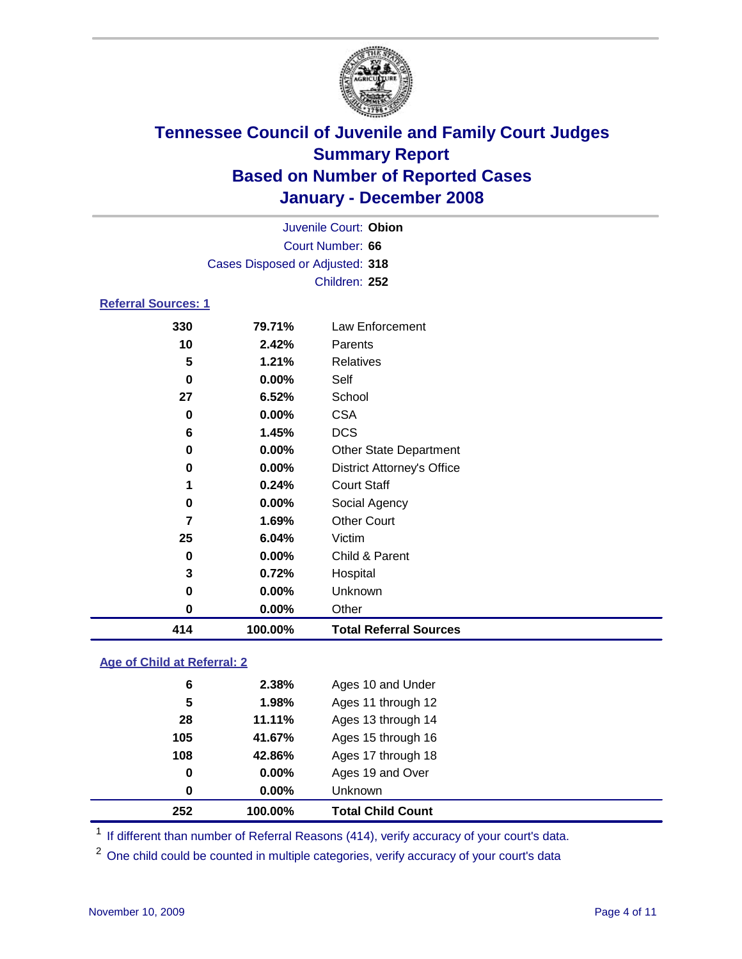

| 414                        | 100.00%                         | <b>Total Referral Sources</b>     |  |  |
|----------------------------|---------------------------------|-----------------------------------|--|--|
| 0                          | 0.00%                           | Other                             |  |  |
| 0                          | 0.00%                           | Unknown                           |  |  |
| 3                          | 0.72%                           | Hospital                          |  |  |
| 0                          | 0.00%                           | Child & Parent                    |  |  |
| 25                         | 6.04%                           | Victim                            |  |  |
| 7                          | 1.69%                           | <b>Other Court</b>                |  |  |
| 0                          | 0.00%                           | Social Agency                     |  |  |
| 1                          | 0.24%                           | <b>Court Staff</b>                |  |  |
| 0                          | 0.00%                           | <b>District Attorney's Office</b> |  |  |
| 0                          | 0.00%                           | <b>Other State Department</b>     |  |  |
| 6                          | 1.45%                           | <b>DCS</b>                        |  |  |
| 0                          | 0.00%                           | <b>CSA</b>                        |  |  |
| 27                         | 6.52%                           | School                            |  |  |
| 0                          | 0.00%                           | Self                              |  |  |
| 5                          | 1.21%                           | <b>Relatives</b>                  |  |  |
| 10                         | 2.42%                           | Parents                           |  |  |
| 330                        | 79.71%                          | Law Enforcement                   |  |  |
| <b>Referral Sources: 1</b> |                                 |                                   |  |  |
|                            |                                 | Children: 252                     |  |  |
|                            | Cases Disposed or Adjusted: 318 |                                   |  |  |
|                            |                                 | Court Number: 66                  |  |  |
|                            | Juvenile Court: Obion           |                                   |  |  |
|                            |                                 |                                   |  |  |

### **Age of Child at Referral: 2**

| 28<br>105<br>108<br>0<br>0 | 41.67%<br>42.86%<br>$0.00\%$<br>0.00% | Ages 15 through 16<br>Ages 17 through 18<br>Ages 19 and Over<br>Unknown |
|----------------------------|---------------------------------------|-------------------------------------------------------------------------|
|                            |                                       |                                                                         |
|                            |                                       |                                                                         |
|                            |                                       |                                                                         |
|                            |                                       |                                                                         |
|                            | 11.11%                                | Ages 13 through 14                                                      |
| 5                          | 1.98%                                 | Ages 11 through 12                                                      |
|                            | 2.38%                                 | Ages 10 and Under                                                       |
|                            | 6                                     |                                                                         |

<sup>1</sup> If different than number of Referral Reasons (414), verify accuracy of your court's data.

<sup>2</sup> One child could be counted in multiple categories, verify accuracy of your court's data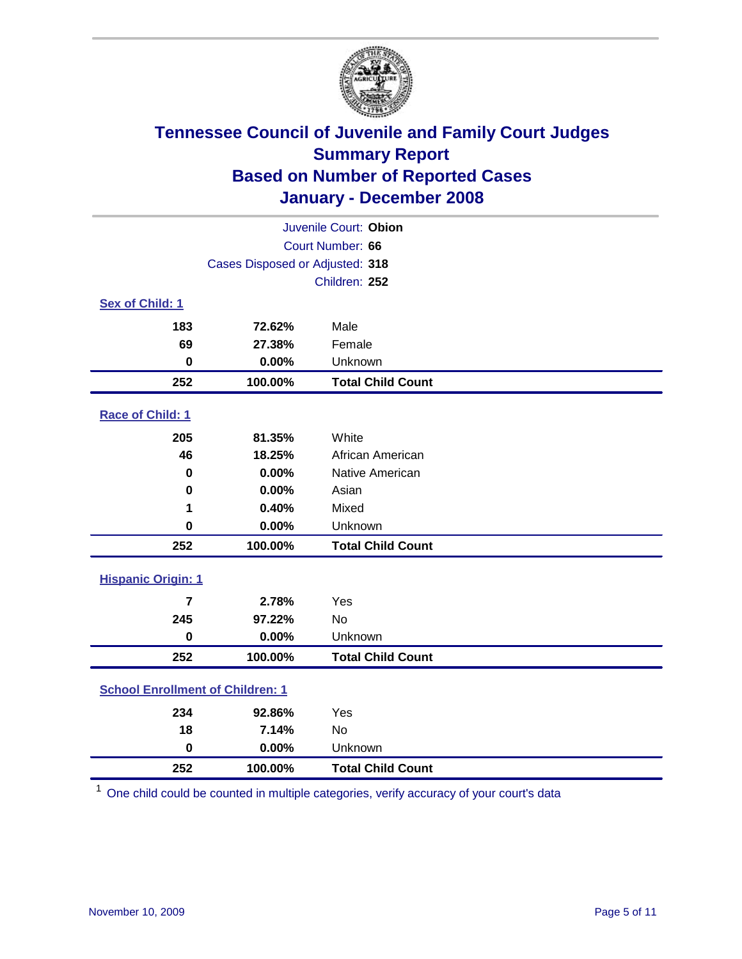

| Juvenile Court: Obion                   |                  |                          |  |  |
|-----------------------------------------|------------------|--------------------------|--|--|
|                                         | Court Number: 66 |                          |  |  |
| Cases Disposed or Adjusted: 318         |                  |                          |  |  |
|                                         |                  | Children: 252            |  |  |
| Sex of Child: 1                         |                  |                          |  |  |
| 183                                     | 72.62%           | Male                     |  |  |
| 69                                      | 27.38%           | Female                   |  |  |
| $\bf{0}$                                | 0.00%            | Unknown                  |  |  |
| 252                                     | 100.00%          | <b>Total Child Count</b> |  |  |
| <b>Race of Child: 1</b>                 |                  |                          |  |  |
| 205                                     | 81.35%           | White                    |  |  |
| 46                                      | 18.25%           | African American         |  |  |
| 0                                       | 0.00%            | Native American          |  |  |
| 0                                       | 0.00%            | Asian                    |  |  |
| 1                                       | 0.40%            | Mixed                    |  |  |
| $\bf{0}$                                | 0.00%            | Unknown                  |  |  |
| 252                                     | 100.00%          | <b>Total Child Count</b> |  |  |
| <b>Hispanic Origin: 1</b>               |                  |                          |  |  |
| $\overline{7}$                          | 2.78%            | Yes                      |  |  |
| 245                                     | 97.22%           | <b>No</b>                |  |  |
| $\mathbf 0$                             | 0.00%            | Unknown                  |  |  |
| 252                                     | 100.00%          | <b>Total Child Count</b> |  |  |
|                                         |                  |                          |  |  |
| <b>School Enrollment of Children: 1</b> |                  |                          |  |  |
| 234                                     | 92.86%           | Yes                      |  |  |
| 18                                      | 7.14%            | No                       |  |  |
| $\mathbf 0$                             | 0.00%            | Unknown                  |  |  |
| 252                                     | 100.00%          | <b>Total Child Count</b> |  |  |

One child could be counted in multiple categories, verify accuracy of your court's data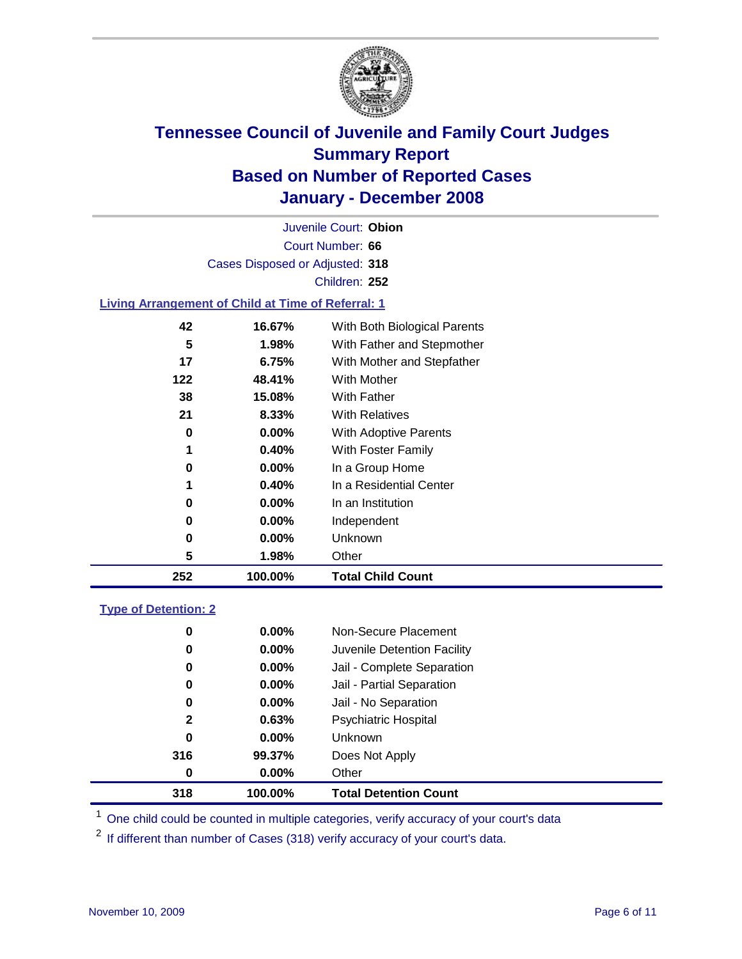

Court Number: **66** Juvenile Court: **Obion** Cases Disposed or Adjusted: **318** Children: **252**

### **Living Arrangement of Child at Time of Referral: 1**

| 252 | 100.00%  | <b>Total Child Count</b>     |
|-----|----------|------------------------------|
| 5   | 1.98%    | Other                        |
| 0   | 0.00%    | Unknown                      |
| 0   | $0.00\%$ | Independent                  |
| 0   | 0.00%    | In an Institution            |
| 1   | 0.40%    | In a Residential Center      |
| 0   | 0.00%    | In a Group Home              |
| 1   | 0.40%    | With Foster Family           |
| 0   | 0.00%    | With Adoptive Parents        |
| 21  | 8.33%    | <b>With Relatives</b>        |
| 38  | 15.08%   | <b>With Father</b>           |
| 122 | 48.41%   | With Mother                  |
| 17  | 6.75%    | With Mother and Stepfather   |
| 5   | 1.98%    | With Father and Stepmother   |
| 42  | 16.67%   | With Both Biological Parents |

#### **Type of Detention: 2**

| 318          | 100.00%  | <b>Total Detention Count</b> |  |
|--------------|----------|------------------------------|--|
| 0            | $0.00\%$ | Other                        |  |
| 316          | 99.37%   | Does Not Apply               |  |
| 0            | $0.00\%$ | Unknown                      |  |
| $\mathbf{2}$ | 0.63%    | <b>Psychiatric Hospital</b>  |  |
| 0            | $0.00\%$ | Jail - No Separation         |  |
| 0            | $0.00\%$ | Jail - Partial Separation    |  |
| 0            | $0.00\%$ | Jail - Complete Separation   |  |
| 0            | 0.00%    | Juvenile Detention Facility  |  |
| 0            | $0.00\%$ | Non-Secure Placement         |  |
|              |          |                              |  |

<sup>1</sup> One child could be counted in multiple categories, verify accuracy of your court's data

<sup>2</sup> If different than number of Cases (318) verify accuracy of your court's data.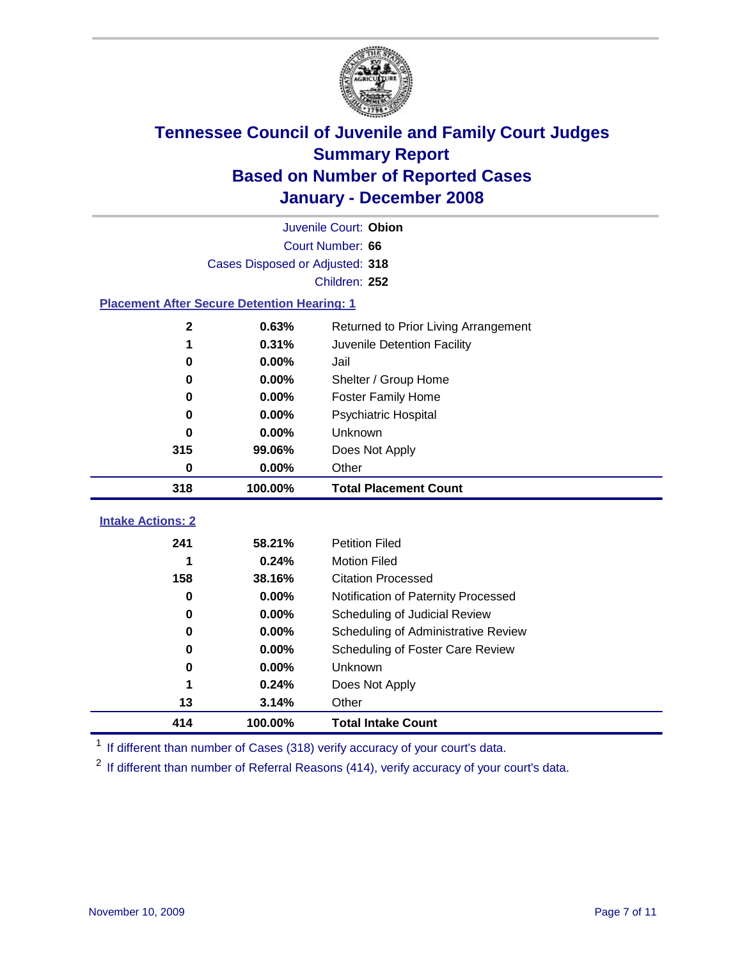

|                                                    | Juvenile Court: Obion           |                                      |  |  |  |  |
|----------------------------------------------------|---------------------------------|--------------------------------------|--|--|--|--|
|                                                    | Court Number: 66                |                                      |  |  |  |  |
|                                                    | Cases Disposed or Adjusted: 318 |                                      |  |  |  |  |
|                                                    | Children: 252                   |                                      |  |  |  |  |
| <b>Placement After Secure Detention Hearing: 1</b> |                                 |                                      |  |  |  |  |
| $\mathbf{2}$                                       | 0.63%                           | Returned to Prior Living Arrangement |  |  |  |  |
| 1                                                  | 0.31%                           | Juvenile Detention Facility          |  |  |  |  |
| $\bf{0}$                                           | 0.00%                           | Jail                                 |  |  |  |  |
| $\bf{0}$                                           | 0.00%                           | Shelter / Group Home                 |  |  |  |  |
| $\bf{0}$                                           | 0.00%                           | <b>Foster Family Home</b>            |  |  |  |  |
| $\bf{0}$                                           | 0.00%                           | Psychiatric Hospital                 |  |  |  |  |
| 0                                                  | 0.00%                           | Unknown                              |  |  |  |  |
| 315                                                | 99.06%                          | Does Not Apply                       |  |  |  |  |
| $\bf{0}$                                           | 0.00%                           | Other                                |  |  |  |  |
| 318                                                | 100.00%                         | <b>Total Placement Count</b>         |  |  |  |  |
| <b>Intake Actions: 2</b>                           |                                 |                                      |  |  |  |  |
| 241                                                | 58.21%                          | <b>Petition Filed</b>                |  |  |  |  |
| 1                                                  | 0.24%                           | <b>Motion Filed</b>                  |  |  |  |  |
| 158                                                | 38.16%                          | <b>Citation Processed</b>            |  |  |  |  |
| $\bf{0}$                                           | 0.00%                           | Notification of Paternity Processed  |  |  |  |  |
| 0                                                  | 0.00%                           | Scheduling of Judicial Review        |  |  |  |  |
| 0                                                  | 0.00%                           | Scheduling of Administrative Review  |  |  |  |  |
| 0                                                  | 0.00%                           | Scheduling of Foster Care Review     |  |  |  |  |
| 0                                                  |                                 |                                      |  |  |  |  |
|                                                    | 0.00%                           | Unknown                              |  |  |  |  |
| 1                                                  | 0.24%                           | Does Not Apply                       |  |  |  |  |
| 13                                                 | 3.14%                           | Other                                |  |  |  |  |

<sup>1</sup> If different than number of Cases (318) verify accuracy of your court's data.

<sup>2</sup> If different than number of Referral Reasons (414), verify accuracy of your court's data.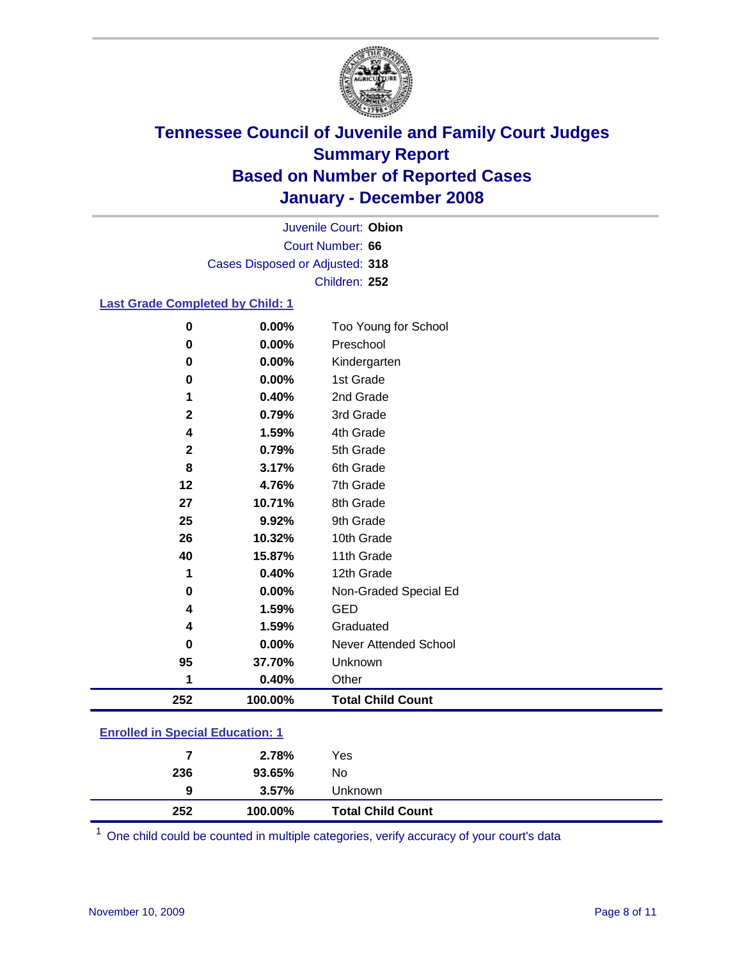

Court Number: **66** Juvenile Court: **Obion** Cases Disposed or Adjusted: **318** Children: **252**

### **Last Grade Completed by Child: 1**

| 0            | 0.00%   | Too Young for School     |
|--------------|---------|--------------------------|
| 0            | 0.00%   | Preschool                |
| 0            | 0.00%   | Kindergarten             |
| 0            | 0.00%   | 1st Grade                |
|              | 0.40%   | 2nd Grade                |
| $\mathbf{2}$ | 0.79%   | 3rd Grade                |
| 4            | 1.59%   | 4th Grade                |
| $\mathbf{2}$ | 0.79%   | 5th Grade                |
| 8            | 3.17%   | 6th Grade                |
| 12           | 4.76%   | 7th Grade                |
| 27           | 10.71%  | 8th Grade                |
| 25           | 9.92%   | 9th Grade                |
| 26           | 10.32%  | 10th Grade               |
| 40           | 15.87%  | 11th Grade               |
| 1            | 0.40%   | 12th Grade               |
| 0            | 0.00%   | Non-Graded Special Ed    |
| 4            | 1.59%   | <b>GED</b>               |
| 4            | 1.59%   | Graduated                |
| 0            | 0.00%   | Never Attended School    |
| 95           | 37.70%  | Unknown                  |
| 1            | 0.40%   | Other                    |
| 252          | 100.00% | <b>Total Child Count</b> |

### **Enrolled in Special Education: 1**

| 252 | 100.00% | <b>Total Child Count</b> |
|-----|---------|--------------------------|
| 9   | 3.57%   | <b>Unknown</b>           |
| 236 | 93.65%  | No                       |
| 7   | 2.78%   | Yes                      |
|     |         |                          |

<sup>1</sup> One child could be counted in multiple categories, verify accuracy of your court's data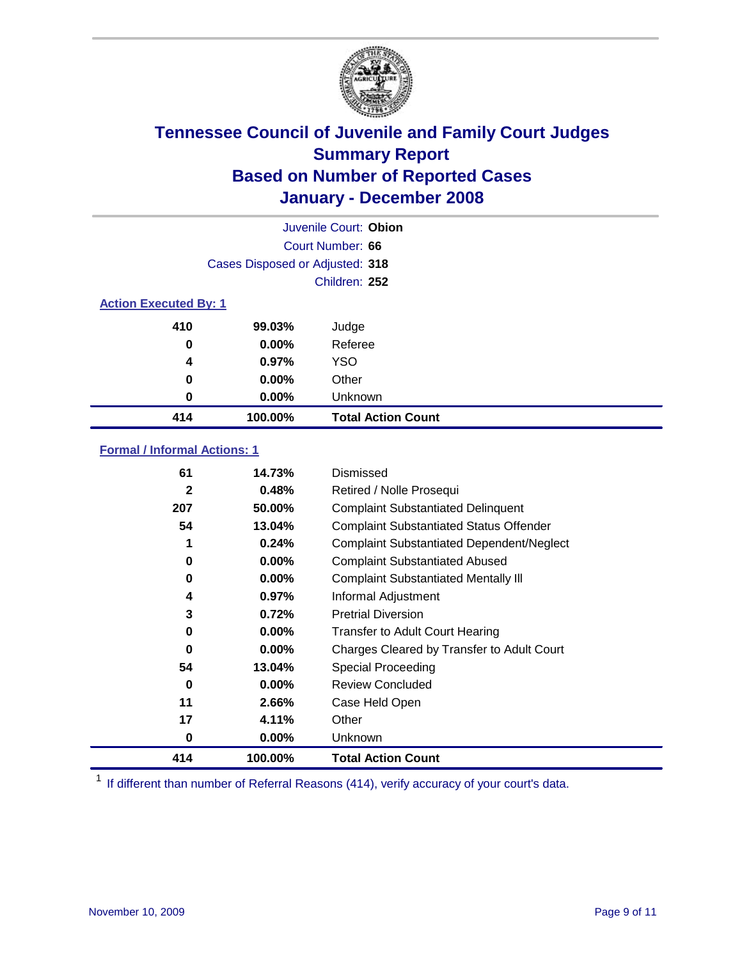

|                              | Juvenile Court: Obion           |                           |  |  |  |
|------------------------------|---------------------------------|---------------------------|--|--|--|
|                              | Court Number: 66                |                           |  |  |  |
|                              | Cases Disposed or Adjusted: 318 |                           |  |  |  |
|                              |                                 | Children: 252             |  |  |  |
| <b>Action Executed By: 1</b> |                                 |                           |  |  |  |
| 410                          | 99.03%                          | Judge                     |  |  |  |
| 0                            | $0.00\%$                        | Referee                   |  |  |  |
| 4                            | 0.97%                           | <b>YSO</b>                |  |  |  |
| 0                            | 0.00%                           | Other                     |  |  |  |
| 0                            | 0.00%                           | Unknown                   |  |  |  |
| 414                          | 100.00%                         | <b>Total Action Count</b> |  |  |  |

### **Formal / Informal Actions: 1**

| 61           | 14.73%   | Dismissed                                        |
|--------------|----------|--------------------------------------------------|
| $\mathbf{2}$ | 0.48%    | Retired / Nolle Prosequi                         |
| 207          | 50.00%   | <b>Complaint Substantiated Delinquent</b>        |
| 54           | 13.04%   | <b>Complaint Substantiated Status Offender</b>   |
| 1            | 0.24%    | <b>Complaint Substantiated Dependent/Neglect</b> |
| 0            | 0.00%    | <b>Complaint Substantiated Abused</b>            |
| 0            | $0.00\%$ | <b>Complaint Substantiated Mentally III</b>      |
| 4            | $0.97\%$ | Informal Adjustment                              |
| 3            | 0.72%    | <b>Pretrial Diversion</b>                        |
| 0            | $0.00\%$ | <b>Transfer to Adult Court Hearing</b>           |
| 0            | $0.00\%$ | Charges Cleared by Transfer to Adult Court       |
| 54           | 13.04%   | Special Proceeding                               |
| $\bf{0}$     | $0.00\%$ | <b>Review Concluded</b>                          |
| 11           | 2.66%    | Case Held Open                                   |
| 17           | 4.11%    | Other                                            |
| 0            | $0.00\%$ | Unknown                                          |
| 414          | 100.00%  | <b>Total Action Count</b>                        |

<sup>1</sup> If different than number of Referral Reasons (414), verify accuracy of your court's data.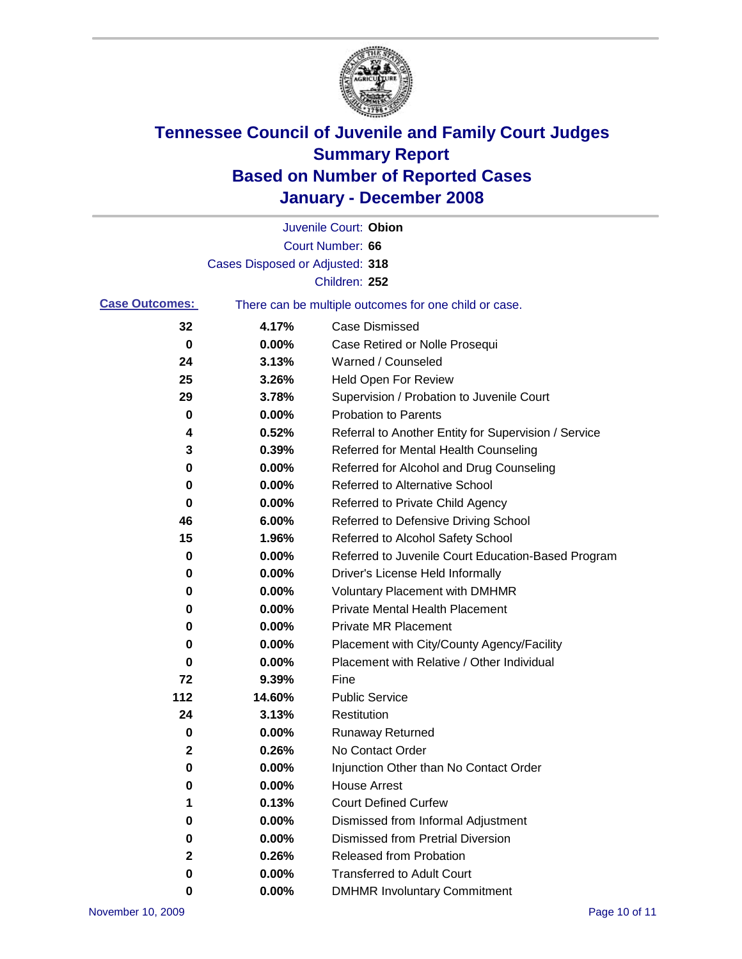

|                       |                                 | Juvenile Court: Obion                                 |
|-----------------------|---------------------------------|-------------------------------------------------------|
|                       |                                 | Court Number: 66                                      |
|                       | Cases Disposed or Adjusted: 318 |                                                       |
|                       |                                 | Children: 252                                         |
| <b>Case Outcomes:</b> |                                 | There can be multiple outcomes for one child or case. |
| 32                    | 4.17%                           | <b>Case Dismissed</b>                                 |
| 0                     | 0.00%                           | Case Retired or Nolle Prosequi                        |
| 24                    | 3.13%                           | Warned / Counseled                                    |
| 25                    | 3.26%                           | <b>Held Open For Review</b>                           |
| 29                    | 3.78%                           | Supervision / Probation to Juvenile Court             |
| 0                     | 0.00%                           | <b>Probation to Parents</b>                           |
| 4                     | 0.52%                           | Referral to Another Entity for Supervision / Service  |
| 3                     | 0.39%                           | Referred for Mental Health Counseling                 |
| 0                     | 0.00%                           | Referred for Alcohol and Drug Counseling              |
| 0                     | 0.00%                           | <b>Referred to Alternative School</b>                 |
| 0                     | 0.00%                           | Referred to Private Child Agency                      |
| 46                    | 6.00%                           | Referred to Defensive Driving School                  |
| 15                    | 1.96%                           | Referred to Alcohol Safety School                     |
| 0                     | 0.00%                           | Referred to Juvenile Court Education-Based Program    |
| 0                     | 0.00%                           | Driver's License Held Informally                      |
| 0                     | 0.00%                           | <b>Voluntary Placement with DMHMR</b>                 |
| 0                     | 0.00%                           | <b>Private Mental Health Placement</b>                |
| 0                     | 0.00%                           | Private MR Placement                                  |
| 0                     | 0.00%                           | Placement with City/County Agency/Facility            |
| 0                     | 0.00%                           | Placement with Relative / Other Individual            |
| 72                    | 9.39%                           | Fine                                                  |
| 112                   | 14.60%                          | <b>Public Service</b>                                 |
| 24                    | 3.13%                           | Restitution                                           |
| 0                     | 0.00%                           | <b>Runaway Returned</b>                               |
| 2                     | 0.26%                           | No Contact Order                                      |
| 0                     | 0.00%                           | Injunction Other than No Contact Order                |
| 0                     | 0.00%                           | <b>House Arrest</b>                                   |
| 1                     | 0.13%                           | <b>Court Defined Curfew</b>                           |
| 0                     | 0.00%                           | Dismissed from Informal Adjustment                    |
| 0                     | 0.00%                           | <b>Dismissed from Pretrial Diversion</b>              |
| 2                     | 0.26%                           | Released from Probation                               |
| 0                     | 0.00%                           | <b>Transferred to Adult Court</b>                     |
| 0                     | 0.00%                           | <b>DMHMR Involuntary Commitment</b>                   |